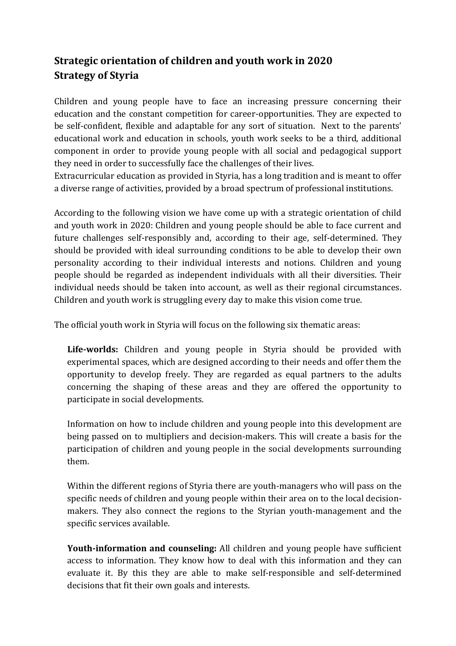## **Strategic orientation of children and youth work in 2020 Strategy of Styria**

Children and young people have to face an increasing pressure concerning their education and the constant competition for career-opportunities. They are expected to be self-confident, flexible and adaptable for any sort of situation. Next to the parents' educational work and education in schools, youth work seeks to be a third, additional component in order to provide young people with all social and pedagogical support they need in order to successfully face the challenges of their lives.

Extracurricular education as provided in Styria, has a long tradition and is meant to offer a diverse range of activities, provided by a broad spectrum of professional institutions.

According to the following vision we have come up with a strategic orientation of child and youth work in 2020: Children and young people should be able to face current and future challenges self-responsibly and, according to their age, self-determined. They should be provided with ideal surrounding conditions to be able to develop their own personality according to their individual interests and notions. Children and young people should be regarded as independent individuals with all their diversities. Their individual needs should be taken into account, as well as their regional circumstances. Children and youth work is struggling every day to make this vision come true.

The official youth work in Styria will focus on the following six thematic areas:

**Life-worlds:** Children and young people in Styria should be provided with experimental spaces, which are designed according to their needs and offer them the opportunity to develop freely. They are regarded as equal partners to the adults concerning the shaping of these areas and they are offered the opportunity to participate in social developments.

Information on how to include children and young people into this development are being passed on to multipliers and decision-makers. This will create a basis for the participation of children and young people in the social developments surrounding them.

Within the different regions of Styria there are youth-managers who will pass on the specific needs of children and young people within their area on to the local decisionmakers. They also connect the regions to the Styrian youth-management and the specific services available.

**Youth-information and counseling:** All children and young people have sufficient access to information. They know how to deal with this information and they can evaluate it. By this they are able to make self-responsible and self-determined decisions that fit their own goals and interests.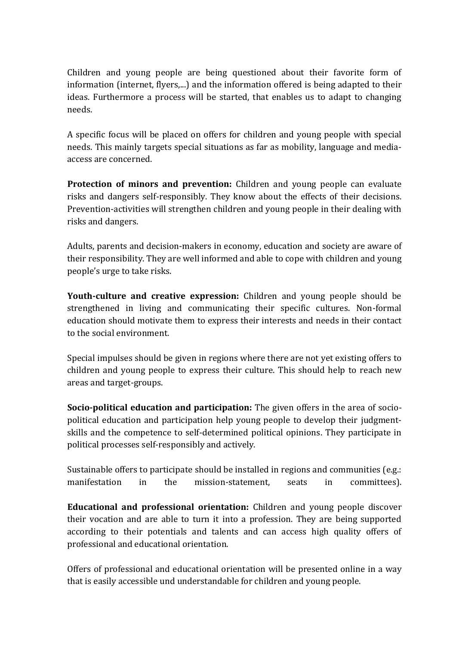Children and young people are being questioned about their favorite form of information (internet, flyers,...) and the information offered is being adapted to their ideas. Furthermore a process will be started, that enables us to adapt to changing needs.

A specific focus will be placed on offers for children and young people with special needs. This mainly targets special situations as far as mobility, language and mediaaccess are concerned.

**Protection of minors and prevention:** Children and young people can evaluate risks and dangers self-responsibly. They know about the effects of their decisions. Prevention-activities will strengthen children and young people in their dealing with risks and dangers.

Adults, parents and decision-makers in economy, education and society are aware of their responsibility. They are well informed and able to cope with children and young people's urge to take risks.

**Youth-culture and creative expression:** Children and young people should be strengthened in living and communicating their specific cultures. Non-formal education should motivate them to express their interests and needs in their contact to the social environment.

Special impulses should be given in regions where there are not yet existing offers to children and young people to express their culture. This should help to reach new areas and target-groups.

**Socio-political education and participation:** The given offers in the area of sociopolitical education and participation help young people to develop their judgmentskills and the competence to self-determined political opinions. They participate in political processes self-responsibly and actively.

Sustainable offers to participate should be installed in regions and communities (e.g.: manifestation in the mission-statement, seats in committees).

**Educational and professional orientation:** Children and young people discover their vocation and are able to turn it into a profession. They are being supported according to their potentials and talents and can access high quality offers of professional and educational orientation.

Offers of professional and educational orientation will be presented online in a way that is easily accessible und understandable for children and young people.